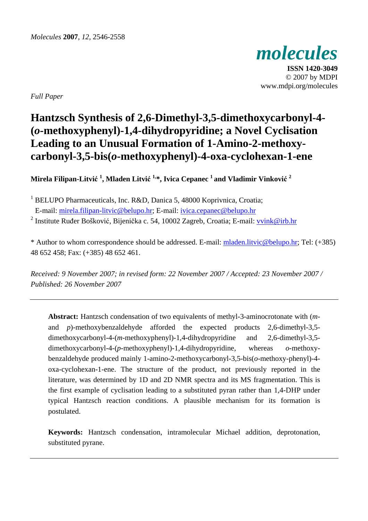

**ISSN 1420-3049**  © 2007 by MDPI www.mdpi.org/molecules

*Full Paper* 

# **Hantzsch Synthesis of 2,6-Dimethyl-3,5-dimethoxycarbonyl-4- (***o***-methoxyphenyl)-1,4-dihydropyridine; a Novel Cyclisation Leading to an Unusual Formation of 1-Amino-2-methoxycarbonyl-3,5-bis(***o***-methoxyphenyl)-4-oxa-cyclohexan-1-ene**

**Mirela Filipan-Litvić <sup>1</sup> , Mladen Litvić 1,\*, Ivica Cepanec 1 and Vladimir Vinković <sup>2</sup>**

<sup>1</sup> BELUPO Pharmaceuticals, Inc. R&D, Danica 5, 48000 Koprivnica, Croatia;

E-mail: mirela.filipan-litvic@belupo.hr; E-mail: ivica.cepanec@belupo.hr

<sup>2</sup> Institute Ruđer Bošković, Bijenička c. 54, 10002 Zagreb, Croatia; E-mail: vvink@irb.hr

\* Author to whom correspondence should be addressed. E-mail: mladen.litvic@belupo.hr; Tel: (+385) 48 652 458; Fax: (+385) 48 652 461.

*Received: 9 November 2007; in revised form: 22 November 2007 / Accepted: 23 November 2007 / Published: 26 November 2007* 

**Abstract:** Hantzsch condensation of two equivalents of methyl-3-aminocrotonate with (*m*and *p*)-methoxybenzaldehyde afforded the expected products 2,6-dimethyl-3,5 dimethoxycarbonyl-4-(*m*-methoxyphenyl)-1,4-dihydropyridine and 2,6-dimethyl-3,5 dimethoxycarbonyl-4-(*p*-methoxyphenyl)-1,4-dihydropyridine, whereas *o*-methoxybenzaldehyde produced mainly 1-amino-2-methoxycarbonyl-3,5-bis(*o*-methoxy-phenyl)-4 oxa-cyclohexan-1-ene. The structure of the product, not previously reported in the literature, was determined by 1D and 2D NMR spectra and its MS fragmentation. This is the first example of cyclisation leading to a substituted pyran rather than 1,4-DHP under typical Hantzsch reaction conditions. A plausible mechanism for its formation is postulated.

**Keywords:** Hantzsch condensation, intramolecular Michael addition, deprotonation, substituted pyrane.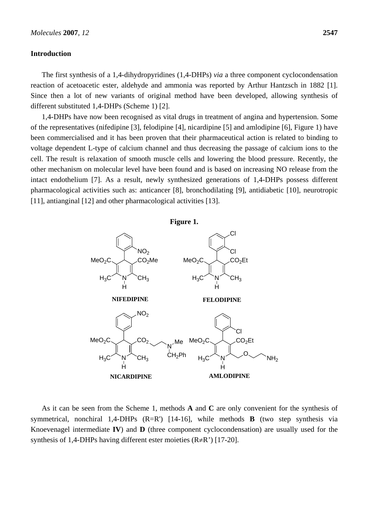## **Introduction**

The first synthesis of a 1,4-dihydropyridines (1,4-DHPs) *via* a three component cyclocondensation reaction of acetoacetic ester, aldehyde and ammonia was reported by Arthur Hantzsch in 1882 [1]. Since then a lot of new variants of original method have been developed, allowing synthesis of different substituted 1,4-DHPs (Scheme 1) [2].

1,4-DHPs have now been recognised as vital drugs in treatment of angina and hypertension. Some of the representatives (nifedipine [3], felodipine [4], nicardipine [5] and amlodipine [6], Figure 1) have been commercialised and it has been proven that their pharmaceutical action is related to binding to voltage dependent L-type of calcium channel and thus decreasing the passage of calcium ions to the cell. The result is relaxation of smooth muscle cells and lowering the blood pressure. Recently, the other mechanism on molecular level have been found and is based on increasing NO release from the intact endothelium [7]. As a result, newly synthesized generations of 1,4-DHPs possess different pharmacological activities such as: anticancer [8], bronchodilating [9], antidiabetic [10], neurotropic [11], antianginal [12] and other pharmacological activities [13].





As it can be seen from the Scheme 1, methods **A** and **C** are only convenient for the synthesis of symmetrical, nonchiral 1,4-DHPs (R=R') [14-16], while methods **B** (two step synthesis via Knoevenagel intermediate **IV**) and **D** (three component cyclocondensation) are usually used for the synthesis of 1,4-DHPs having different ester moieties  $(R \neq R'$ ) [17-20].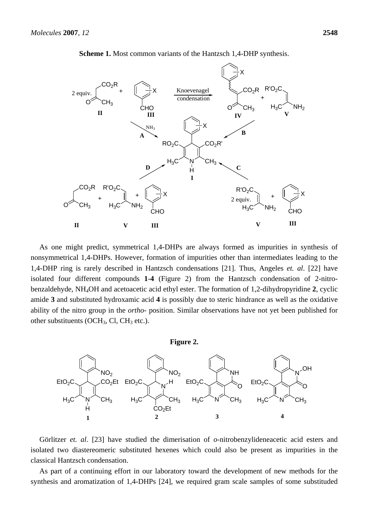

**Scheme 1.** Most common variants of the Hantzsch 1,4-DHP synthesis.

As one might predict, symmetrical 1,4-DHPs are always formed as impurities in synthesis of nonsymmetrical 1,4-DHPs. However, formation of impurities other than intermediates leading to the 1,4-DHP ring is rarely described in Hantzsch condensations [21]. Thus, Angeles *et. al*. [22] have isolated four different compounds **1**-**4** (Figure 2) from the Hantzsch condensation of 2-nitrobenzaldehyde, NH4OH and acetoacetic acid ethyl ester. The formation of 1,2-dihydropyridine **2**, cyclic amide **3** and substituted hydroxamic acid **4** is possibly due to steric hindrance as well as the oxidative ability of the nitro group in the *ortho*- position. Similar observations have not yet been published for other substituents (OCH<sub>3</sub>, Cl, CH<sub>3</sub> etc.).



Görlitzer *et. al*. [23] have studied the dimerisation of *o*-nitrobenzylideneacetic acid esters and isolated two diastereomeric substituted hexenes which could also be present as impurities in the classical Hantzsch condensation.

As part of a continuing effort in our laboratory toward the development of new methods for the synthesis and aromatization of 1,4-DHPs [24], we required gram scale samples of some substituded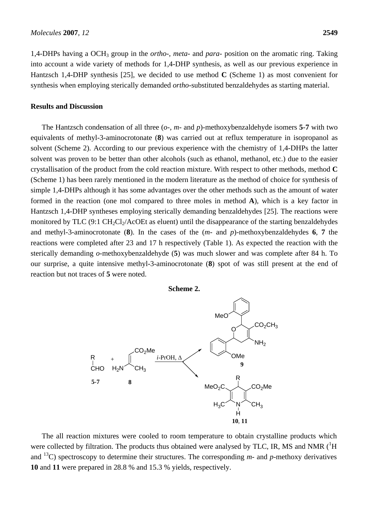1,4-DHPs having a OCH3 group in the *ortho*-, *meta*- and *para*- position on the aromatic ring. Taking into account a wide variety of methods for 1,4-DHP synthesis, as well as our previous experience in Hantzsch 1,4-DHP synthesis [25], we decided to use method **C** (Scheme 1) as most convenient for synthesis when employing sterically demanded *ortho*-substituted benzaldehydes as starting material.

## **Results and Discussion**

The Hantzsch condensation of all three (*o*-, *m*- and *p*)-methoxybenzaldehyde isomers **5**-**7** with two equivalents of methyl-3-aminocrotonate (**8**) was carried out at reflux temperature in isopropanol as solvent (Scheme 2). According to our previous experience with the chemistry of 1,4-DHPs the latter solvent was proven to be better than other alcohols (such as ethanol, methanol, etc.) due to the easier crystallisation of the product from the cold reaction mixture. With respect to other methods, method **C** (Scheme 1) has been rarely mentioned in the modern literature as the method of choice for synthesis of simple 1,4-DHPs although it has some advantages over the other methods such as the amount of water formed in the reaction (one mol compared to three moles in method **A**), which is a key factor in Hantzsch 1,4-DHP syntheses employing sterically demanding benzaldehydes [25]. The reactions were monitored by TLC  $(9:1 \text{ CH}_2\text{Cl}_2/\text{ACOE}$  as eluent) until the disappearance of the starting benzaldehydes and methyl-3-aminocrotonate (**8**). In the cases of the (*m*- and *p*)-methoxybenzaldehydes **6**, **7** the reactions were completed after 23 and 17 h respectively (Table 1). As expected the reaction with the sterically demanding *o*-methoxybenzaldehyde (**5**) was much slower and was complete after 84 h. To our surprise, a quite intensive methyl-3-aminocrotonate (**8**) spot of was still present at the end of reaction but not traces of **5** were noted.

**Scheme 2.** 



The all reaction mixtures were cooled to room temperature to obtain crystalline products which were collected by filtration. The products thus obtained were analysed by TLC, IR, MS and NMR  $(^1H)$ and  $^{13}$ C) spectroscopy to determine their structures. The corresponding  $m$ - and  $p$ -methoxy derivatives **10** and **11** were prepared in 28.8 % and 15.3 % yields, respectively.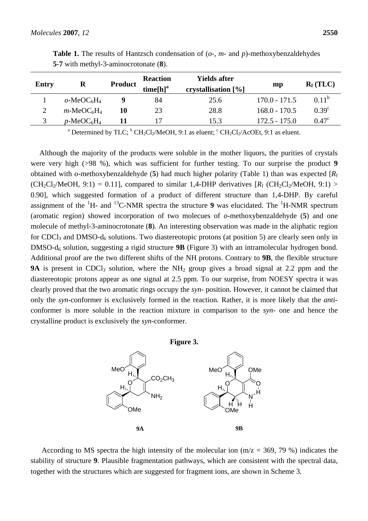| Entry | R                                     | <b>Product</b> | <b>Reaction</b><br>time[h] <sup>a</sup> | <b>Yields after</b><br>crystallisation [%] | $\mathbf{m} \mathbf{p}$ | $R_f (TLC)$       |
|-------|---------------------------------------|----------------|-----------------------------------------|--------------------------------------------|-------------------------|-------------------|
|       | $o$ -MeOC <sub>6</sub> H <sub>4</sub> |                | 84                                      | 25.6                                       | $170.0 - 171.5$         | $0.11^{b}$        |
|       | $m\text{-}MeOC6H4$                    | 10             | 23                                      | 28.8                                       | $168.0 - 170.5$         | $0.39^\circ$      |
|       | $p$ -MeOC <sub>6</sub> H <sub>4</sub> |                |                                         | 15.3                                       | $172.5 - 175.0$         | 0.47 <sup>c</sup> |

**Table 1.** The results of Hantzsch condensation of (*o*-, *m*- and *p*)-methoxybenzaldehydes **5**-**7** with methyl-3-aminocrotonate (**8**).

<sup>a</sup> Determined by TLC; <sup>b</sup> CH<sub>2</sub>Cl<sub>2</sub>/MeOH, 9:1 as eluent; <sup>c</sup> CH<sub>2</sub>Cl<sub>2</sub>/AcOEt, 9:1 as eluent.

Although the majority of the products were soluble in the mother liquors, the purities of crystals were very high (>98 %), which was sufficient for further testing. To our surprise the product **9** obtained with *o*-methoxybenzaldehyde (**5**) had much higher polarity (Table 1) than was expected [*R*<sup>f</sup>  $(CH_2Cl_2/MeOH, 9:1) = 0.11$ ], compared to similar 1,4-DHP derivatives  $[R_f (CH_2Cl_2/MeOH, 9:1) >$ 0.90], which suggested formation of a product of different structure than 1,4-DHP. By careful assignment of the  ${}^{1}H$ - and  ${}^{13}C$ -NMR spectra the structure **9** was elucidated. The  ${}^{1}H$ -NMR spectrum (aromatic region) showed incorporation of two molecues of *o*-methoxybenzaldehyde (**5**) and one molecule of methyl-3-aminocrotonate (**8**). An interesting observation was made in the aliphatic region for CDCl<sub>3</sub> and DMSO- $d_6$  solutions. Two diastereotopic protons (at position 5) are clearly seen only in DMSO-d6 solution, suggesting a rigid structure **9B** (Figure 3) with an intramolecular hydrogen bond. Additional proof are the two different shifts of the NH protons. Contrary to **9B**, the flexible structure **9A** is present in CDCl<sub>3</sub> solution, where the  $NH_2$  group gives a broad signal at 2.2 ppm and the diastereotopic protons appear as one signal at 2.5 ppm. To our surprise, from NOESY spectra it was clearly proved that the two aromatic rings occupy the *syn*- position. However, it cannot be claimed that only the *syn*-conformer is exclusively formed in the reaction. Rather, it is more likely that the *anti*conformer is more soluble in the reaction mixture in comparison to the *syn-* one and hence the crystalline product is exclusively the *syn*-conformer.





According to MS spectra the high intensity of the molecular ion  $(m/z = 369, 79%)$  indicates the stability of structure **9**. Plausible fragmentation pathways, which are consistent with the spectral data, together with the structures which are suggested for fragment ions, are shown in Scheme 3.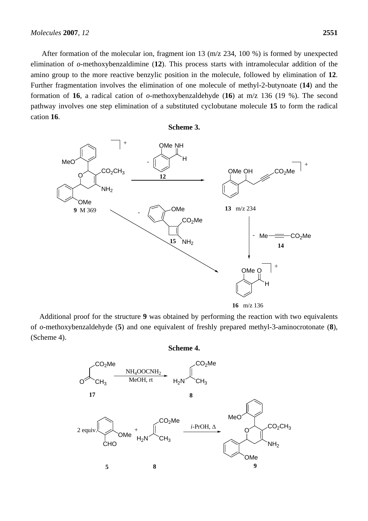After formation of the molecular ion, fragment ion 13 (m/z 234, 100 %) is formed by unexpected elimination of *o*-methoxybenzaldimine (**12**). This process starts with intramolecular addition of the amino group to the more reactive benzylic position in the molecule, followed by elimination of **12**. Further fragmentation involves the elimination of one molecule of methyl-2-butynoate (**14**) and the formation of **16**, a radical cation of *o*-methoxybenzaldehyde (**16**) at m/z 136 (19 %). The second pathway involves one step elimination of a substituted cyclobutane molecule **15** to form the radical cation **16**.

## **Scheme 3.**



**16** m/z 136

Additional proof for the structure **9** was obtained by performing the reaction with two equivalents of *o*-methoxybenzaldehyde (**5**) and one equivalent of freshly prepared methyl-3-aminocrotonate (**8**), (Scheme 4).

**Scheme 4.** 

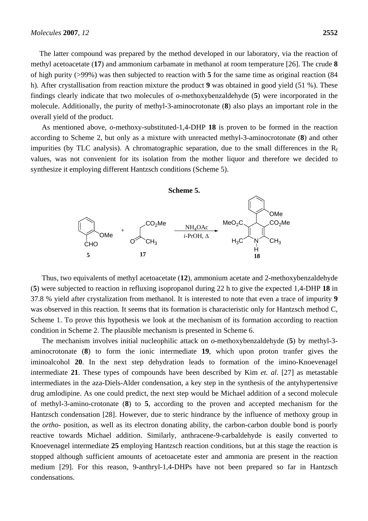The latter compound was prepared by the method developed in our laboratory, via the reaction of methyl acetoacetate (**17**) and ammonium carbamate in methanol at room temperature [26]. The crude **8** of high purity (>99%) was then subjected to reaction with **5** for the same time as original reaction (84 h). After crystallisation from reaction mixture the product **9** was obtained in good yield (51 %). These findings clearly indicate that two molecules of *o*-methoxybenzaldehyde (**5**) were incorporated in the molecule. Additionally, the purity of methyl-3-aminocrotonate (**8**) also plays an important role in the overall yield of the product.

As mentioned above, *o*-methoxy-substituted-1,4-DHP **18** is proven to be formed in the reaction according to Scheme 2, but only as a mixture with unreacted methyl-3-aminocrotonate (**8**) and other impurities (by TLC analysis). A chromatographic separation, due to the small differences in the  $R_f$ values, was not convenient for its isolation from the mother liquor and therefore we decided to synthesize it employing different Hantzsch conditions (Scheme 5).

#### **Scheme 5.**



Thus, two equivalents of methyl acetoacetate (**12**), ammonium acetate and 2-methoxybenzaldehyde (**5**) were subjected to reaction in refluxing isopropanol during 22 h to give the expected 1,4-DHP **18** in 37.8 % yield after crystalization from methanol. It is interested to note that even a trace of impurity **9** was observed in this reaction. It seems that its formation is characteristic only for Hantzsch method C, Scheme 1. To prove this hypothesis we look at the mechanism of its formation according to reaction condition in Scheme 2. The plausible mechanism is presented in Scheme 6.

The mechanism involves initial nucleophilic attack on *o*-methoxybenzaldehyde (**5**) by methyl-3 aminocrotonate (**8**) to form the ionic intermediate **19**, which upon proton tranfer gives the iminoalcohol **20**. In the next step dehydration leads to formation of the imino-Knoevenagel intermediate **21**. These types of compounds have been described by Kim *et. al*. [27] as metastable intermediates in the aza-Diels-Alder condensation, a key step in the synthesis of the antyhypertensive drug amlodipine. As one could predict, the next step would be Michael addition of a second molecule of methyl-3-amino-crotonate (**8**) to **5**, according to the proven and accepted mechanism for the Hantzsch condensation [28]. However, due to steric hindrance by the influence of methoxy group in the *ortho*- position, as well as its electron donating ability, the carbon-carbon double bond is poorly reactive towards Michael addition. Similarly, anthracene-9-carbaldehyde is easily converted to Knoevenagel intermediate **25** employing Hantzsch reaction conditions, but at this stage the reaction is stopped although sufficient amounts of acetoacetate ester and ammonia are present in the reaction medium [29]. For this reason, 9-anthryl-1,4-DHPs have not been prepared so far in Hantzsch condensations.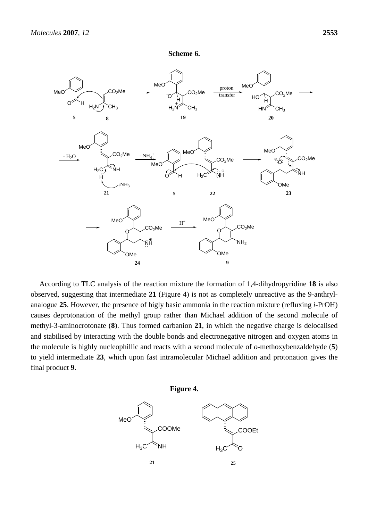



According to TLC analysis of the reaction mixture the formation of 1,4-dihydropyridine **18** is also observed, suggesting that intermediate **21** (Figure 4) is not as completely unreactive as the 9-anthrylanalogue **25**. However, the presence of higly basic ammonia in the reaction mixture (refluxing *i*-PrOH) causes deprotonation of the methyl group rather than Michael addition of the second molecule of methyl-3-aminocrotonate (**8**). Thus formed carbanion **21**, in which the negative charge is delocalised and stabilised by interacting with the double bonds and electronegative nitrogen and oxygen atoms in the molecule is highly nucleophillic and reacts with a second molecule of *o*-methoxybenzaldehyde (**5**) to yield intermediate **23**, which upon fast intramolecular Michael addition and protonation gives the final product **9**.

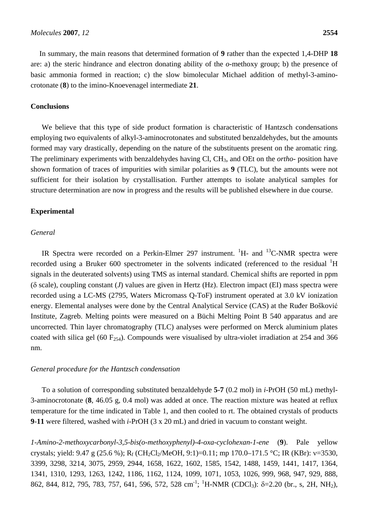In summary, the main reasons that determined formation of **9** rather than the expected 1,4-DHP **18** are: a) the steric hindrance and electron donating ability of the *o*-methoxy group; b) the presence of basic ammonia formed in reaction; c) the slow bimolecular Michael addition of methyl-3-aminocrotonate (**8**) to the imino-Knoevenagel intermediate **21**.

# **Conclusions**

We believe that this type of side product formation is characteristic of Hantzsch condensations employing two equivalents of alkyl-3-aminocrotonates and substituted benzaldehydes, but the amounts formed may vary drastically, depending on the nature of the substituents present on the aromatic ring. The preliminary experiments with benzaldehydes having Cl, CH<sub>3</sub>, and OEt on the *ortho*- position have shown formation of traces of impurities with similar polarities as **9** (TLC), but the amounts were not sufficient for their isolation by crystallisation. Further attempts to isolate analytical samples for structure determination are now in progress and the results will be published elsewhere in due course.

#### **Experimental**

#### *General*

IR Spectra were recorded on a Perkin-Elmer 297 instrument.  ${}^{1}H$ - and  ${}^{13}C$ -NMR spectra were recorded using a Bruker 600 spectrometer in the solvents indicated (referenced to the residual  ${}^{1}H$ signals in the deuterated solvents) using TMS as internal standard. Chemical shifts are reported in ppm (δ scale), coupling constant (*J*) values are given in Hertz (Hz). Electron impact (EI) mass spectra were recorded using a LC-MS (2795, Waters Micromass Q-ToF) instrument operated at 3.0 kV ionization energy. Elemental analyses were done by the Central Analytical Service (CAS) at the Ruđer Bošković Institute, Zagreb. Melting points were measured on a Büchi Melting Point B 540 apparatus and are uncorrected. Thin layer chromatography (TLC) analyses were performed on Merck aluminium plates coated with silica gel (60  $F_{254}$ ). Compounds were visualised by ultra-violet irradiation at 254 and 366 nm.

### *General procedure for the Hantzsch condensation*

To a solution of corresponding substituted benzaldehyde **5**-**7** (0.2 mol) in *i*-PrOH (50 mL) methyl-3-aminocrotonate (**8**, 46.05 g, 0.4 mol) was added at once. The reaction mixture was heated at reflux temperature for the time indicated in Table 1, and then cooled to rt. The obtained crystals of products **9**-**11** were filtered, washed with *i*-PrOH (3 x 20 mL) and dried in vacuum to constant weight.

*1-Amino-2-methoxycarbonyl-3,5-bis(o-methoxyphenyl)-4-oxa-cyclohexan-1-ene* (**9**). Pale yellow crystals; yield:  $9.47 \text{ g } (25.6 \text{ %}); R_f (CH_2Cl_2/MeOH, 9:1)=0.11$ ; mp  $170.0-171.5 \text{ °C}$ ; IR (KBr):  $v=3530$ , 3399, 3298, 3214, 3075, 2959, 2944, 1658, 1622, 1602, 1585, 1542, 1488, 1459, 1441, 1417, 1364, 1341, 1310, 1293, 1263, 1242, 1186, 1162, 1124, 1099, 1071, 1053, 1026, 999, 968, 947, 929, 888, 862, 844, 812, 795, 783, 757, 641, 596, 572, 528 cm<sup>-1</sup>; <sup>1</sup>H-NMR (CDCl<sub>3</sub>): δ=2.20 (br., s, 2H, NH<sub>2</sub>),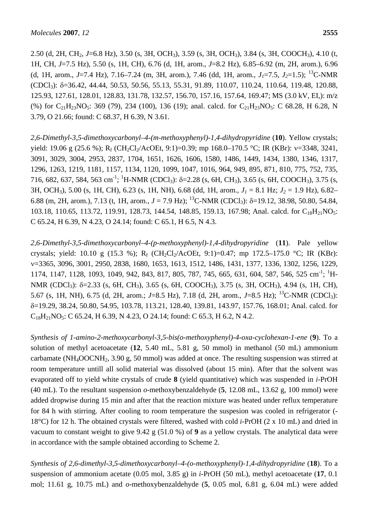2.50 (d, 2H, CH<sub>2</sub>, *J*=6.8 Hz), 3.50 (s, 3H, OCH<sub>3</sub>), 3.59 (s, 3H, OCH<sub>3</sub>), 3.84 (s, 3H, COOCH<sub>3</sub>), 4.10 (t, 1H, CH, *J*=7.5 Hz), 5.50 (s, 1H, CH), 6.76 (d, 1H, arom., *J*=8.2 Hz), 6.85–6.92 (m, 2H, arom.), 6.96 (d, 1H, arom., *J*=7.4 Hz), 7.16–7.24 (m, 3H, arom.), 7.46 (dd, 1H, arom., *J1*=7.5, *J2*=1.5); 13C-NMR  $(CDCl<sub>3</sub>)$ : δ=36.42, 44.44, 50.53, 50.56, 55.13, 55.31, 91.89, 110.07, 110.24, 110.64, 119.48, 120.88, 125.93, 127.61, 128.01, 128.83, 131.78, 132.57, 156.70, 157.16, 157.64, 169.47; MS (3.0 kV, EI,): m/z (%) for  $C_{21}H_{23}NO_5$ : 369 (79), 234 (100), 136 (19); anal. calcd. for  $C_{21}H_{23}NO_5$ : C 68.28, H 6.28, N 3.79, O 21.66; found: C 68.37, H 6.39, N 3.61.

*2,6-Dimethyl-3,5-dimethoxycarbonyl–4-(m-methoxyphenyl)-1,4-dihydropyridine* (**10**). Yellow crystals; yield: 19.06 g (25.6 %);  $R_f$  (CH<sub>2</sub>Cl<sub>2</sub>/AcOEt, 9:1)=0.39; mp 168.0–170.5 °C; IR (KBr):  $v=3348$ , 3241, 3091, 3029, 3004, 2953, 2837, 1704, 1651, 1626, 1606, 1580, 1486, 1449, 1434, 1380, 1346, 1317, 1296, 1263, 1219, 1181, 1157, 1134, 1120, 1099, 1047, 1016, 964, 949, 895, 871, 810, 775, 752, 735, 716, 682, 637, 584, 563 cm<sup>-1</sup>; <sup>1</sup>H-NMR (CDCl<sub>3</sub>): δ=2.28 (s, 6H, CH<sub>3</sub>), 3.65 (s, 6H, COOCH<sub>3</sub>), 3.75 (s, 3H, OCH3), 5.00 (s, 1H, CH), 6.23 (s, 1H, NH), 6.68 (dd, 1H, arom., *J1* = 8.1 Hz; *J2* = 1.9 Hz), 6.82– 6.88 (m, 2H, arom.), 7.13 (t, 1H, arom.,  $J = 7.9$  Hz); <sup>13</sup>C-NMR (CDCl<sub>3</sub>):  $\delta$ =19.12, 38.98, 50.80, 54.84, 103.18, 110.65, 113.72, 119.91, 128.73, 144.54, 148.85, 159.13, 167.98; Anal. calcd. for C<sub>18</sub>H<sub>21</sub>NO<sub>5</sub>: C 65.24, H 6.39, N 4.23, O 24.14; found: C 65.1, H 6.5, N 4.3.

*2,6-Dimethyl-3,5-dimethoxycarbonyl–4-(p-methoxyphenyl)-1,4-dihydropyridine* (**11**). Pale yellow crystals; yield: 10.10 g (15.3 %); R<sub>f</sub> (CH<sub>2</sub>Cl<sub>2</sub>/AcOEt, 9:1)=0.47; mp 172.5–175.0 °C; IR (KBr): ν=3365, 3096, 3001, 2950, 2838, 1680, 1653, 1613, 1512, 1486, 1431, 1377, 1336, 1302, 1256, 1229, 1174, 1147, 1128, 1093, 1049, 942, 843, 817, 805, 787, 745, 665, 631, 604, 587, 546, 525 cm<sup>-1</sup>; <sup>1</sup>H-NMR (CDCl<sub>3</sub>): δ=2.33 (s, 6H, CH<sub>3</sub>), 3.65 (s, 6H, COOCH<sub>3</sub>), 3.75 (s, 3H, OCH<sub>3</sub>), 4.94 (s, 1H, CH), 5.67 (s, 1H, NH), 6.75 (d, 2H, arom.; *J*=8.5 Hz), 7.18 (d, 2H, arom., *J*=8.5 Hz); <sup>13</sup>C-NMR (CDCl<sub>3</sub>): δ=19.29, 38.24, 50.80, 54.95, 103.78, 113.21, 128.40, 139.81, 143.97, 157.76, 168.01; Anal. calcd. for  $C_{18}H_{21}NO_5$ : C 65.24, H 6.39, N 4.23, O 24.14; found: C 65.3, H 6.2, N 4.2.

*Synthesis of 1-amino-2-methoxycarbonyl-3,5-bis(o-methoxyphenyl)-4-oxa-cyclohexan-1-ene* (**9**). To a solution of methyl acetoacetate (**12**, 5.40 mL, 5.81 g, 50 mmol) in methanol (50 mL) ammonium carbamate (NH<sub>4</sub>OOCNH<sub>2</sub>, 3.90 g, 50 mmol) was added at once. The resulting suspension was stirred at room temperature untill all solid material was dissolved (about 15 min). After that the solvent was evaporated off to yield white crystals of crude **8** (yield quantitative) which was suspended in *i*-PrOH (40 mL). To the resultant suspension *o*-methoxybenzaldehyde (**5**, 12.08 mL, 13.62 g, 100 mmol) were added dropwise during 15 min and after that the reaction mixture was heated under reflux temperature for 84 h with stirring. After cooling to room temperature the suspesion was cooled in refrigerator (- 18°C) for 12 h. The obtained crystals were filtered, washed with cold *i*-PrOH (2 x 10 mL) and dried in vacuum to constant weight to give 9.42 g (51.0 %) of **9** as a yellow crystals. The analytical data were in accordance with the sample obtained according to Scheme 2.

*Synthesis of 2,6-dimethyl-3,5-dimethoxycarbonyl–4-(o-methoxyphenyl)-1,4-dihydropyridine* (**18**). To a suspension of ammonium acetate (0.05 mol, 3.85 g) in *i*-PrOH (50 mL), methyl acetoacetate (**17**, 0.1 mol; 11.61 g, 10.75 mL) and *o*-methoxybenzaldehyde (**5**, 0.05 mol, 6.81 g, 6.04 mL) were added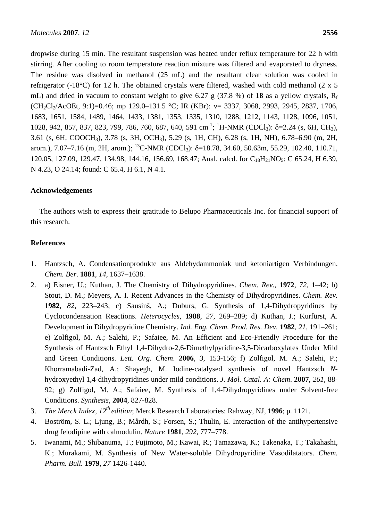dropwise during 15 min. The resultant suspension was heated under reflux temperature for 22 h with stirring. After cooling to room temperature reaction mixture was filtered and evaporated to dryness. The residue was disolved in methanol (25 mL) and the resultant clear solution was cooled in refrigerator (-18°C) for 12 h. The obtained crystals were filtered, washed with cold methanol (2 x 5 mL) and dried in vacuum to constant weight to give 6.27 g (37.8 %) of **18** as a yellow crystals,  $R_f$  $(CH_2Cl_2/ACOEt, 9:1)=0.46$ ; mp 129.0–131.5 °C; IR (KBr):  $v= 3337, 3068, 2993, 2945, 2837, 1706$ , 1683, 1651, 1584, 1489, 1464, 1433, 1381, 1353, 1335, 1310, 1288, 1212, 1143, 1128, 1096, 1051, 1028, 942, 857, 837, 823, 799, 786, 760, 687, 640, 591 cm<sup>-1</sup>; <sup>1</sup>H-NMR (CDCl<sub>3</sub>): δ=2.24 (s, 6H, CH<sub>3</sub>), 3.61 (s, 6H, COOCH3), 3.78 (s, 3H, OCH3), 5.29 (s, 1H, CH), 6.28 (s, 1H, NH), 6.78–6.90 (m, 2H, arom.), 7.07–7.16 (m, 2H, arom.); <sup>13</sup>C-NMR (CDCl<sub>3</sub>): δ=18.78, 34.60, 50.63m, 55.29, 102.40, 110.71, 120.05, 127.09, 129.47, 134.98, 144.16, 156.69, 168.47; Anal. calcd. for C<sub>18</sub>H<sub>21</sub>NO<sub>5</sub>: C 65.24, H 6.39, N 4.23, O 24.14; found: C 65.4, H 6.1, N 4.1.

# **Acknowledgements**

The authors wish to express their gratitude to Belupo Pharmaceuticals Inc. for financial support of this research.

# **References**

- 1. Hantzsch, A. Condensationprodukte aus Aldehydammoniak und ketoniartigen Verbindungen. *Chem. Ber*. **1881**, *14*, 1637–1638.
- 2. a) Eisner, U.; Kuthan, J. The Chemistry of Dihydropyridines. *Chem. Rev.*, **1972**, *72*, 1–42; b) Stout, D. M.; Meyers, A. I. Recent Advances in the Chemisty of Dihydropyridines. *Chem. Rev.* **1982**, *82*, 223–243; c) Sausinš, A.; Duburs, G. Synthesis of 1,4-Dihydropyridines by Cyclocondensation Reactions. *Heterocycles*, **1988**, *27*, 269–289; d) Kuthan, J.; Kurfürst, A. Development in Dihydropyridine Chemistry. *Ind. Eng. Chem. Prod. Res. Dev.* **1982**, *21*, 191–261; e) Zolfigol, M. A.; Salehi, P.; Safaiee, M. An Efficient and Eco-Friendly Procedure for the Synthesis of Hantzsch Ethyl 1,4-Dihydro-2,6-Dimethylpyridine-3,5-Dicarboxylates Under Mild and Green Conditions. *Lett. Org. Chem*. **2006**, *3*, 153-156; f) Zolfigol, M. A.; Salehi, P.; Khorramabadi-Zad, A.; Shayegh, M. Iodine-catalysed synthesis of novel Hantzsch *N*hydroxyethyl 1,4-dihydropyridines under mild conditions. *J. Mol. Catal. A: Chem*. **2007**, *261*, 88- 92; g) Zolfigol, M. A.; Safaiee, M. Synthesis of 1,4-Dihydropyridines under Solvent-free Conditions. *Synthesis*, **2004**, 827-828.
- 3. *The Merck Index, 12th edition*; Merck Research Laboratories: Rahway, NJ, **1996**; p. 1121.
- 4. Boström, S. L.; Ljung, B.; Mårdh, S.; Forsen, S.; Thulin, E. Interaction of the antihypertensive drug felodipine with calmodulin. *Nature* **1981**, *292*, 777–778.
- 5. Iwanami, M.; Shibanuma, T.; Fujimoto, M.; Kawai, R.; Tamazawa, K.; Takenaka, T.; Takahashi, K.; Murakami, M. Synthesis of New Water-soluble Dihydropyridine Vasodilatators. *Chem. Pharm. Bull.* **1979**, *27* 1426-1440.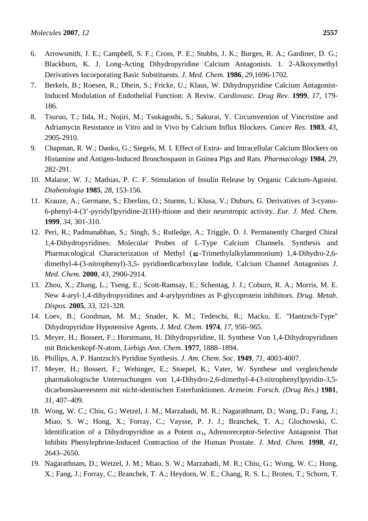- 6. Arrowsmith, J. E.; Campbell, S. F.; Cross, P. E.; Stubbs, J. K.; Burges, R. A.; Gardiner, D. G.; Blackburn, K. J. Long-Acting Dihydropyridine Calcium Antagonists. 1. 2-Alkoxymethyl Derivatives Incorporating Basic Substituents. *J. Med. Chem.* **1986**, *29*,1696-1702.
- 7. Berkels, B.; Roesen, R.; Dhein, S.; Fricke, U.; Klaus, W. Dihydropyridine Calcium Antagonist-Induced Modulation of Endothelial Function: A Reviw. *Cardiovasc. Drug Rev.* **1999**, *17*, 179- 186.
- 8. Tsuruo, T.; Iida, H.; Nojiri, M.; Tsukagoshi, S.; Sakurai, Y. Circumvention of Vincristine and Adriamycin Resistance in Vitro and in Vivo by Calcium Influx Blockers. *Cancer Res.* **1983**, *43*, 2905-2910.
- 9. Chapman, R. W.; Danko, G.; Siegels, M. I. Effect of Extra- and Intracellular Calcium Blockers on Histamine and Antigen-Induced Bronchospasm in Guinea Pigs and Rats. *Pharmacology* **1984**, *29*, 282-291.
- 10. Malaise, W. J.; Mathias, P. C. F. Stimulation of Insulin Release by Organic Calcium-Agonist. *Diabetologia* **1985**, *28*, 153-156.
- 11. Krauze, A.; Germane, S.; Eberlins, O.; Sturms, I.; Klusa, V.; Duburs, G. Derivatives of 3-cyano-6-phenyl-4-(3'-pyridyl)pyridine-2(1H)-thione and their neurotropic activity. *Eur. J. Med. Chem.*  **1999**, *34*, 301-310.
- 12. Peri, R.; Padmanabhan, S.; Singh, S.; Rutledge, A.; Triggle, D. J. Permanently Charged Chiral 1,4-Dihydropyridines: Molecular Probes of L-Type Calcium Channels. Synthesis and Pharmacological Characterization of Methyl ( $\omega$ -Trimethylalkylammonium) 1,4-Dihydro-2,6dimethyl-4-(3-nitrophenyl)-3,5- pyridinedicarboxylate Iodide, Calcium Channel Antagonists *J. Med. Chem.* **2000**, *43*, 2906-2914.
- 13. Zhou, X.; Zhang, L.; Tseng, E.; Scott-Ramsay, E.; Schentag, J. J.; Coburn, R. A.; Morris, M. E. New 4-aryl-1,4-dihydropyridines and 4-arylpyridines as P-glycoprotein inhibitors. *Drug. Metab. Dispos.* **2005**, *33*, 321-328.
- 14. Loev, B.; Goodman, M. M.; Snader, K. M.; Tedeschi, R.; Macko, E. "Hantzsch-Type" Dihydropyridine Hypotensive Agents. *J. Med. Chem.* **1974**, *17*, 956–965.
- 15. Meyer, H.; Bossert, F.; Horstmann, H. Dihydropyridine, II. Synthese Von 1,4-Dihydropyridinen mit Brückenkopf-N-atom. *Liebigs Ann. Chem*. **1977**, 1888–1894.
- 16. Phillips, A. P. Hantzsch's Pyridine Synthesis. *J. Am. Chem. Soc*. **1949**, *71*, 4003-4007.
- 17. Meyer, H.; Bossert, F.; Wehinger, E.; Stoepel, K.; Vater, W. Synthese und vergleichende pharmakologische Untersuchungen von 1,4-Dihydro-2,6-dimethyl-4-(3-nitrophenyl)pyridin-3,5 dicarbonsäuereestern mit nicht-identischen Esterfunktionen. *Arzneim. Forsch. (Drug Res.)* **1981**, *31*, 407–409.
- 18. Wong, W. C.; Chiu, G.; Wetzel, J. M.; Marzabadi, M. R.; Nagarathnam, D.; Wang, D.; Fang, J.; Miao, S. W.; Hong, X.; Forray, C.; Vaysse, P. J. J.; Branchek, T. A.; Gluchowski, C. Identification of a Dihydropyridine as a Potent  $\alpha_{1a}$  Adrenoreceptor-Selective Antagonist That Inhibits Phenylephrine-Induced Contraction of the Human Prostate. *J. Med. Chem.* **1998**, *41*, 2643–2650.
- 19. Nagarathnam, D.; Wetzel, J. M.; Miao, S. W.; Marzabadi, M. R.; Chiu, G.; Wong, W. C.; Hong, X.; Fang, J.; Forray, C.; Branchek, T. A.; Heydorn, W. E.; Chang, R. S. L.; Broten, T.; Schorn, T.